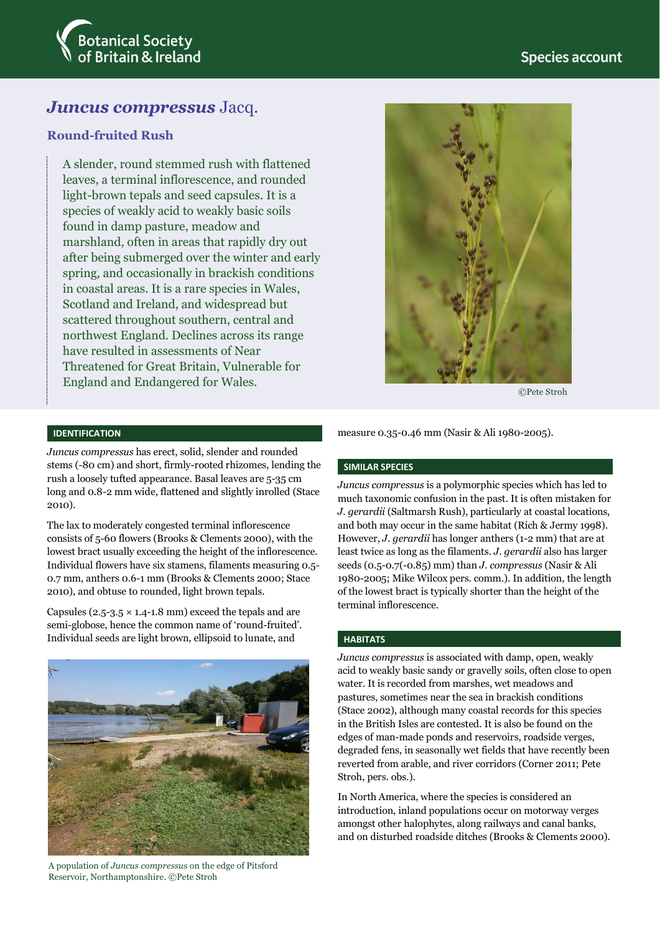

# *Juncus compressus* Jacq.

# **Round-fruited Rush**

A slender, round stemmed rush with flattened leaves, a terminal inflorescence, and rounded light-brown tepals and seed capsules. It is a species of weakly acid to weakly basic soils found in damp pasture, meadow and marshland, often in areas that rapidly dry out after being submerged over the winter and early spring, and occasionally in brackish conditions in coastal areas. It is a rare species in Wales, Scotland and Ireland, and widespread but scattered throughout southern, central and northwest England. Declines across its range have resulted in assessments of Near Threatened for Great Britain, Vulnerable for England and Endangered for Wales.



©Pete Stroh

### **IDENTIFICATION**

*Juncus compressus* has erect, solid, slender and rounded stems (-80 cm) and short, firmly-rooted rhizomes, lending the rush a loosely tufted appearance. Basal leaves are 5-35 cm long and 0.8-2 mm wide, flattened and slightly inrolled (Stace 2010).

The lax to moderately congested terminal inflorescence consists of 5-60 flowers (Brooks & Clements 2000), with the lowest bract usually exceeding the height of the inflorescence. Individual flowers have six stamens, filaments measuring 0.5- 0.7 mm, anthers 0.6-1 mm (Brooks & Clements 2000; Stace 2010), and obtuse to rounded, light brown tepals.

Capsules ( $2.5-3.5 \times 1.4-1.8$  mm) exceed the tepals and are semi-globose, hence the common name of 'round-fruited'. Individual seeds are light brown, ellipsoid to lunate, and



A population of *Juncus compressus* on the edge of Pitsford Reservoir, Northamptonshire. ©Pete Stroh

measure 0.35-0.46 mm (Nasir & Ali 1980-2005).

#### **SIMILAR SPECIES**

*Juncus compressus* is a polymorphic species which has led to much taxonomic confusion in the past. It is often mistaken for *J. gerardii* (Saltmarsh Rush), particularly at coastal locations, and both may occur in the same habitat (Rich & Jermy 1998). However, *J. gerardii* has longer anthers (1-2 mm) that are at least twice as long as the filaments. *J. gerardii* also has larger seeds (0.5-0.7(-0.85) mm) than *J. compressus* (Nasir & Ali 1980-2005; Mike Wilcox pers. comm.). In addition, the length of the lowest bract is typically shorter than the height of the terminal inflorescence.

## **HABITATS**

*Juncus compressus* is associated with damp, open, weakly acid to weakly basic sandy or gravelly soils, often close to open water. It is recorded from marshes, wet meadows and pastures, sometimes near the sea in brackish conditions (Stace 2002), although many coastal records for this species in the British Isles are contested. It is also be found on the edges of man-made ponds and reservoirs, roadside verges, degraded fens, in seasonally wet fields that have recently been reverted from arable, and river corridors (Corner 2011; Pete Stroh, pers. obs.).

In North America, where the species is considered an introduction, inland populations occur on motorway verges amongst other halophytes, along railways and canal banks, and on disturbed roadside ditches (Brooks & Clements 2000).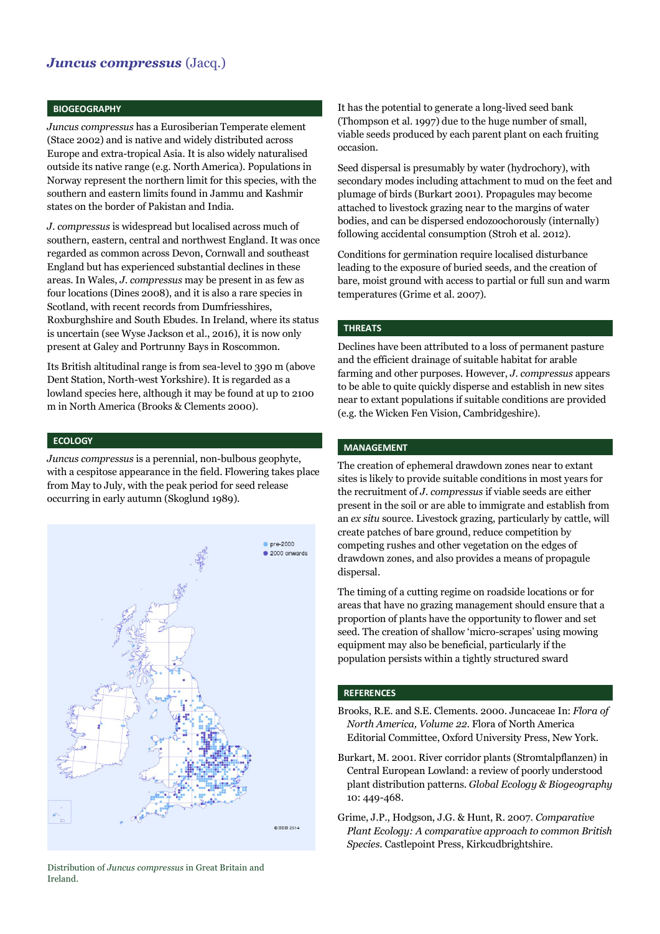# *Juncus compressus* (Jacq.)

#### **BIOGEOGRAPHY**

*Juncus compressus* has a Eurosiberian Temperate element (Stace 2002) and is native and widely distributed across Europe and extra-tropical Asia. It is also widely naturalised outside its native range (e.g. North America). Populations in Norway represent the northern limit for this species, with the southern and eastern limits found in Jammu and Kashmir states on the border of Pakistan and India.

*J. compressus* is widespread but localised across much of southern, eastern, central and northwest England. It was once regarded as common across Devon, Cornwall and southeast England but has experienced substantial declines in these areas. In Wales, *J. compressus* may be present in as few as four locations (Dines 2008), and it is also a rare species in Scotland, with recent records from Dumfriesshires, Roxburghshire and South Ebudes. In Ireland, where its status is uncertain (see Wyse Jackson et al., 2016), it is now only present at Galey and Portrunny Bays in Roscommon.

Its British altitudinal range is from sea-level to 390 m (above Dent Station, North-west Yorkshire). It is regarded as a lowland species here, although it may be found at up to 2100 m in North America (Brooks & Clements 2000).

#### **ECOLOGY**

*Juncus compressus* is a perennial, non-bulbous geophyte, with a cespitose appearance in the field. Flowering takes place from May to July, with the peak period for seed release occurring in early autumn (Skoglund 1989).



Distribution of *Juncus compressus* in Great Britain and Ireland.

It has the potential to generate a long-lived seed bank (Thompson et al. 1997) due to the huge number of small, viable seeds produced by each parent plant on each fruiting occasion.

Seed dispersal is presumably by water (hydrochory), with secondary modes including attachment to mud on the feet and plumage of birds (Burkart 2001). Propagules may become attached to livestock grazing near to the margins of water bodies, and can be dispersed endozoochorously (internally) following accidental consumption (Stroh et al. 2012).

Conditions for germination require localised disturbance leading to the exposure of buried seeds, and the creation of bare, moist ground with access to partial or full sun and warm temperatures (Grime et al. 2007).

#### **THREATS**

Declines have been attributed to a loss of permanent pasture and the efficient drainage of suitable habitat for arable farming and other purposes. However, *J. compressus* appears to be able to quite quickly disperse and establish in new sites near to extant populations if suitable conditions are provided (e.g. the Wicken Fen Vision, Cambridgeshire).

## **MANAGEMENT**

The creation of ephemeral drawdown zones near to extant sites is likely to provide suitable conditions in most years for the recruitment of *J. compressus* if viable seeds are either present in the soil or are able to immigrate and establish from an *ex situ* source. Livestock grazing, particularly by cattle, will create patches of bare ground, reduce competition by competing rushes and other vegetation on the edges of drawdown zones, and also provides a means of propagule dispersal.

The timing of a cutting regime on roadside locations or for areas that have no grazing management should ensure that a proportion of plants have the opportunity to flower and set seed. The creation of shallow 'micro-scrapes' using mowing equipment may also be beneficial, particularly if the population persists within a tightly structured sward

#### **REFERENCES**

- Brooks, R.E. and S.E. Clements. 2000. Juncaceae In: *Flora of North America, Volume 22*. Flora of North America Editorial Committee, Oxford University Press, New York.
- Burkart, M. 2001. River corridor plants (Stromtalpflanzen) in Central European Lowland: a review of poorly understood plant distribution patterns. *Global Ecology & Biogeography* 10: 449-468.
- Grime, J.P., Hodgson, J.G. & Hunt, R. 2007. *Comparative Plant Ecology: A comparative approach to common British Species*. Castlepoint Press, Kirkcudbrightshire.